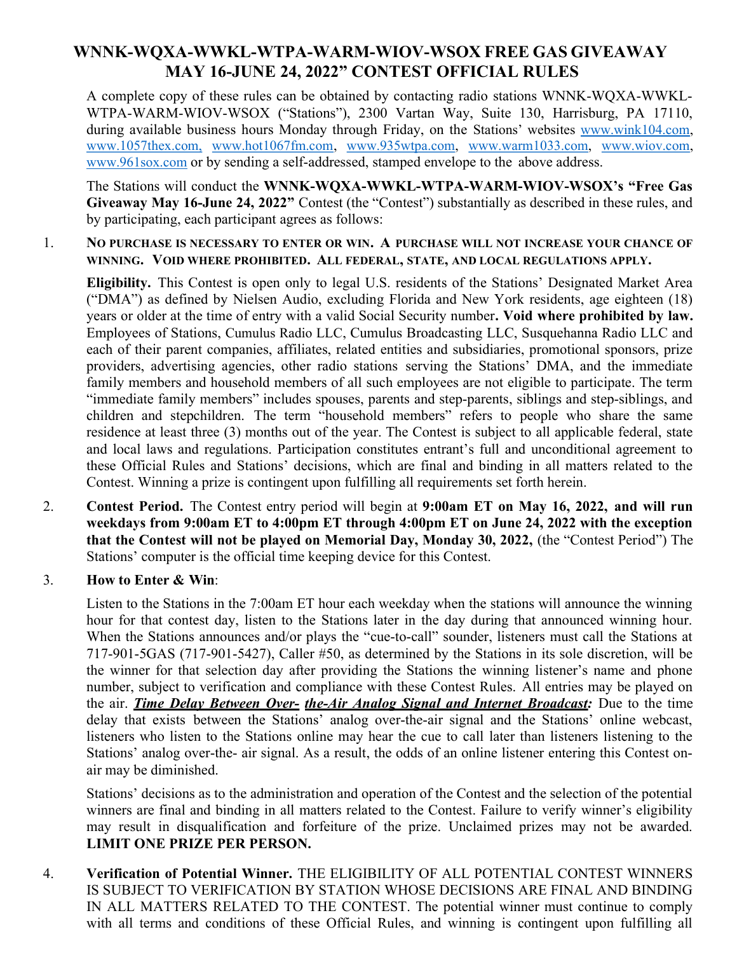# WNNK-WQXA-WWKL-WTPA-WARM-WIOV-WSOX FREE GAS GIVEAWAY MAY 16-JUNE 24, 2022" CONTEST OFFICIAL RULES

A complete copy of these rules can be obtained by contacting radio stations WNNK-WQXA-WWKL-WTPA-WARM-WIOV-WSOX ("Stations"), 2300 Vartan Way, Suite 130, Harrisburg, PA 17110, during available business hours Monday through Friday, on the Stations' websites www.wink104.com, www.1057thex.com, www.hot1067fm.com, www.935wtpa.com, www.warm1033.com, www.wiov.com, www.961sox.com or by sending a self-addressed, stamped envelope to the above address.

The Stations will conduct the WNNK-WQXA-WWKL-WTPA-WARM-WIOV-WSOX's "Free Gas Giveaway May 16-June 24, 2022" Contest (the "Contest") substantially as described in these rules, and by participating, each participant agrees as follows:

#### 1. NO PURCHASE IS NECESSARY TO ENTER OR WIN. A PURCHASE WILL NOT INCREASE YOUR CHANCE OF WINNING. VOID WHERE PROHIBITED. ALL FEDERAL, STATE, AND LOCAL REGULATIONS APPLY.

Eligibility. This Contest is open only to legal U.S. residents of the Stations' Designated Market Area ("DMA") as defined by Nielsen Audio, excluding Florida and New York residents, age eighteen (18) years or older at the time of entry with a valid Social Security number. Void where prohibited by law. Employees of Stations, Cumulus Radio LLC, Cumulus Broadcasting LLC, Susquehanna Radio LLC and each of their parent companies, affiliates, related entities and subsidiaries, promotional sponsors, prize providers, advertising agencies, other radio stations serving the Stations' DMA, and the immediate family members and household members of all such employees are not eligible to participate. The term "immediate family members" includes spouses, parents and step-parents, siblings and step-siblings, and children and stepchildren. The term "household members" refers to people who share the same residence at least three (3) months out of the year. The Contest is subject to all applicable federal, state and local laws and regulations. Participation constitutes entrant's full and unconditional agreement to these Official Rules and Stations' decisions, which are final and binding in all matters related to the Contest. Winning a prize is contingent upon fulfilling all requirements set forth herein.

2. Contest Period. The Contest entry period will begin at 9:00am ET on May 16, 2022, and will run weekdays from 9:00am ET to 4:00pm ET through 4:00pm ET on June 24, 2022 with the exception that the Contest will not be played on Memorial Day, Monday 30, 2022, (the "Contest Period") The Stations' computer is the official time keeping device for this Contest.

### 3. How to Enter & Win:

Listen to the Stations in the 7:00am ET hour each weekday when the stations will announce the winning hour for that contest day, listen to the Stations later in the day during that announced winning hour. When the Stations announces and/or plays the "cue-to-call" sounder, listeners must call the Stations at 717-901-5GAS (717-901-5427), Caller #50, as determined by the Stations in its sole discretion, will be the winner for that selection day after providing the Stations the winning listener's name and phone number, subject to verification and compliance with these Contest Rules. All entries may be played on the air. **Time Delay Between Over-** the-Air Analog Signal and Internet Broadcast: Due to the time delay that exists between the Stations' analog over-the-air signal and the Stations' online webcast, listeners who listen to the Stations online may hear the cue to call later than listeners listening to the Stations' analog over-the- air signal. As a result, the odds of an online listener entering this Contest onair may be diminished.

Stations' decisions as to the administration and operation of the Contest and the selection of the potential winners are final and binding in all matters related to the Contest. Failure to verify winner's eligibility may result in disqualification and forfeiture of the prize. Unclaimed prizes may not be awarded. LIMIT ONE PRIZE PER PERSON.

4. Verification of Potential Winner. THE ELIGIBILITY OF ALL POTENTIAL CONTEST WINNERS IS SUBJECT TO VERIFICATION BY STATION WHOSE DECISIONS ARE FINAL AND BINDING IN ALL MATTERS RELATED TO THE CONTEST. The potential winner must continue to comply with all terms and conditions of these Official Rules, and winning is contingent upon fulfilling all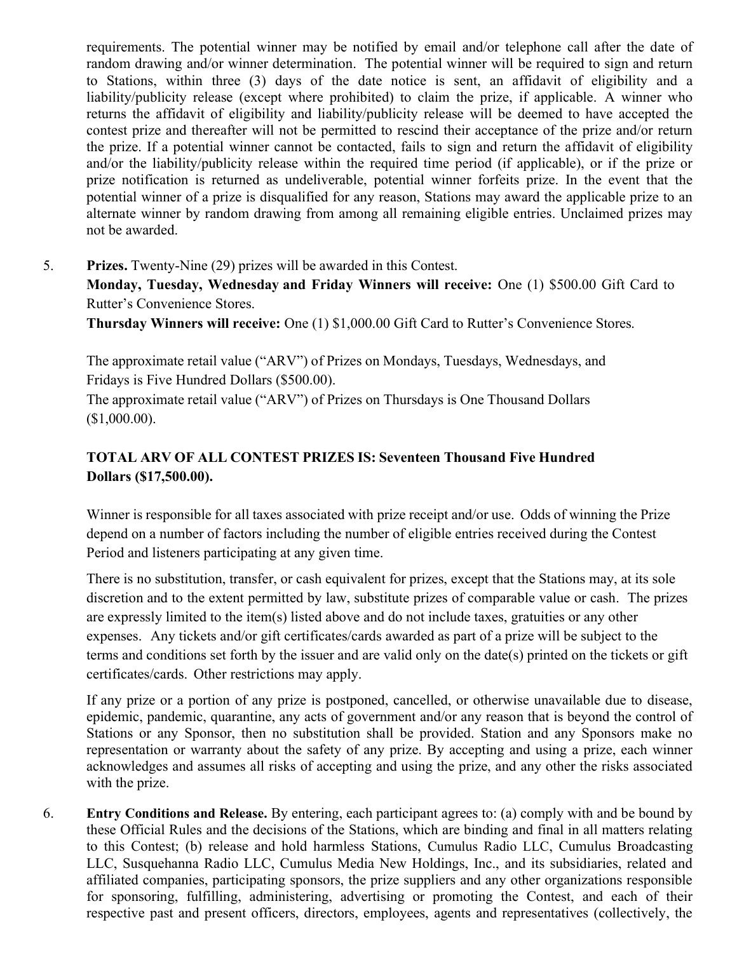requirements. The potential winner may be notified by email and/or telephone call after the date of random drawing and/or winner determination. The potential winner will be required to sign and return to Stations, within three (3) days of the date notice is sent, an affidavit of eligibility and a liability/publicity release (except where prohibited) to claim the prize, if applicable. A winner who returns the affidavit of eligibility and liability/publicity release will be deemed to have accepted the contest prize and thereafter will not be permitted to rescind their acceptance of the prize and/or return the prize. If a potential winner cannot be contacted, fails to sign and return the affidavit of eligibility and/or the liability/publicity release within the required time period (if applicable), or if the prize or prize notification is returned as undeliverable, potential winner forfeits prize. In the event that the potential winner of a prize is disqualified for any reason, Stations may award the applicable prize to an alternate winner by random drawing from among all remaining eligible entries. Unclaimed prizes may not be awarded.

### 5. Prizes. Twenty-Nine (29) prizes will be awarded in this Contest.

Monday, Tuesday, Wednesday and Friday Winners will receive: One (1) \$500.00 Gift Card to Rutter's Convenience Stores.

Thursday Winners will receive: One (1) \$1,000.00 Gift Card to Rutter's Convenience Stores.

The approximate retail value ("ARV") of Prizes on Mondays, Tuesdays, Wednesdays, and Fridays is Five Hundred Dollars (\$500.00).

The approximate retail value ("ARV") of Prizes on Thursdays is One Thousand Dollars (\$1,000.00).

## TOTAL ARV OF ALL CONTEST PRIZES IS: Seventeen Thousand Five Hundred Dollars (\$17,500.00).

Winner is responsible for all taxes associated with prize receipt and/or use. Odds of winning the Prize depend on a number of factors including the number of eligible entries received during the Contest Period and listeners participating at any given time.

There is no substitution, transfer, or cash equivalent for prizes, except that the Stations may, at its sole discretion and to the extent permitted by law, substitute prizes of comparable value or cash. The prizes are expressly limited to the item(s) listed above and do not include taxes, gratuities or any other expenses. Any tickets and/or gift certificates/cards awarded as part of a prize will be subject to the terms and conditions set forth by the issuer and are valid only on the date(s) printed on the tickets or gift certificates/cards. Other restrictions may apply.

If any prize or a portion of any prize is postponed, cancelled, or otherwise unavailable due to disease, epidemic, pandemic, quarantine, any acts of government and/or any reason that is beyond the control of Stations or any Sponsor, then no substitution shall be provided. Station and any Sponsors make no representation or warranty about the safety of any prize. By accepting and using a prize, each winner acknowledges and assumes all risks of accepting and using the prize, and any other the risks associated with the prize.

6. Entry Conditions and Release. By entering, each participant agrees to: (a) comply with and be bound by these Official Rules and the decisions of the Stations, which are binding and final in all matters relating to this Contest; (b) release and hold harmless Stations, Cumulus Radio LLC, Cumulus Broadcasting LLC, Susquehanna Radio LLC, Cumulus Media New Holdings, Inc., and its subsidiaries, related and affiliated companies, participating sponsors, the prize suppliers and any other organizations responsible for sponsoring, fulfilling, administering, advertising or promoting the Contest, and each of their respective past and present officers, directors, employees, agents and representatives (collectively, the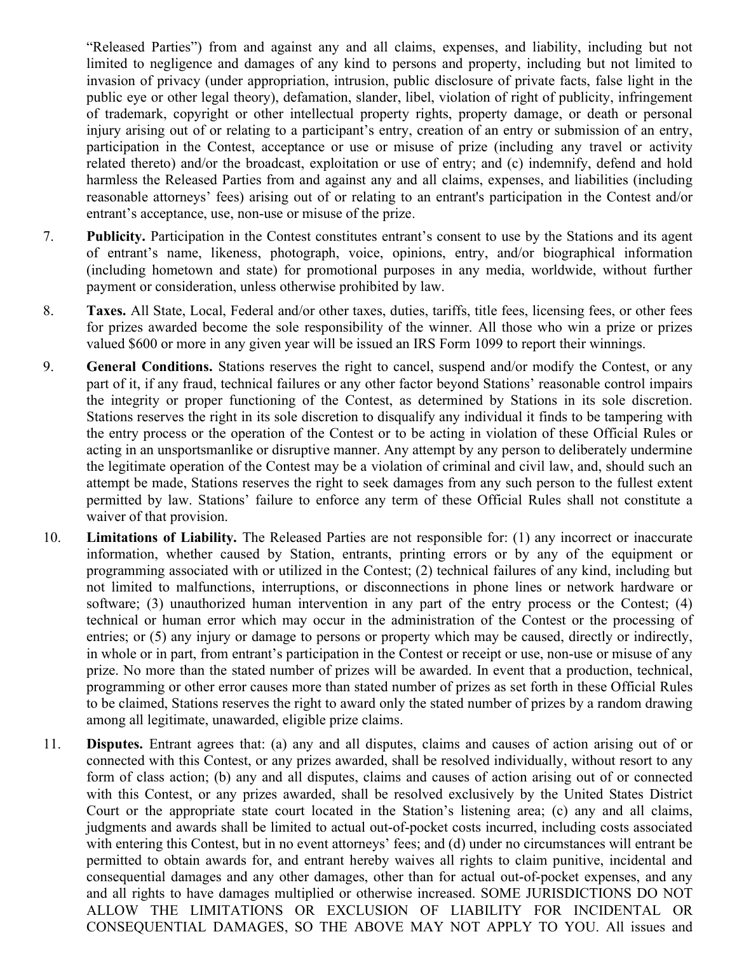"Released Parties") from and against any and all claims, expenses, and liability, including but not limited to negligence and damages of any kind to persons and property, including but not limited to invasion of privacy (under appropriation, intrusion, public disclosure of private facts, false light in the public eye or other legal theory), defamation, slander, libel, violation of right of publicity, infringement of trademark, copyright or other intellectual property rights, property damage, or death or personal injury arising out of or relating to a participant's entry, creation of an entry or submission of an entry, participation in the Contest, acceptance or use or misuse of prize (including any travel or activity related thereto) and/or the broadcast, exploitation or use of entry; and (c) indemnify, defend and hold harmless the Released Parties from and against any and all claims, expenses, and liabilities (including reasonable attorneys' fees) arising out of or relating to an entrant's participation in the Contest and/or entrant's acceptance, use, non-use or misuse of the prize.

- 7. Publicity. Participation in the Contest constitutes entrant's consent to use by the Stations and its agent of entrant's name, likeness, photograph, voice, opinions, entry, and/or biographical information (including hometown and state) for promotional purposes in any media, worldwide, without further payment or consideration, unless otherwise prohibited by law.
- 8. Taxes. All State, Local, Federal and/or other taxes, duties, tariffs, title fees, licensing fees, or other fees for prizes awarded become the sole responsibility of the winner. All those who win a prize or prizes valued \$600 or more in any given year will be issued an IRS Form 1099 to report their winnings.
- 9. General Conditions. Stations reserves the right to cancel, suspend and/or modify the Contest, or any part of it, if any fraud, technical failures or any other factor beyond Stations' reasonable control impairs the integrity or proper functioning of the Contest, as determined by Stations in its sole discretion. Stations reserves the right in its sole discretion to disqualify any individual it finds to be tampering with the entry process or the operation of the Contest or to be acting in violation of these Official Rules or acting in an unsportsmanlike or disruptive manner. Any attempt by any person to deliberately undermine the legitimate operation of the Contest may be a violation of criminal and civil law, and, should such an attempt be made, Stations reserves the right to seek damages from any such person to the fullest extent permitted by law. Stations' failure to enforce any term of these Official Rules shall not constitute a waiver of that provision.
- 10. Limitations of Liability. The Released Parties are not responsible for: (1) any incorrect or inaccurate information, whether caused by Station, entrants, printing errors or by any of the equipment or programming associated with or utilized in the Contest; (2) technical failures of any kind, including but not limited to malfunctions, interruptions, or disconnections in phone lines or network hardware or software; (3) unauthorized human intervention in any part of the entry process or the Contest; (4) technical or human error which may occur in the administration of the Contest or the processing of entries; or (5) any injury or damage to persons or property which may be caused, directly or indirectly, in whole or in part, from entrant's participation in the Contest or receipt or use, non-use or misuse of any prize. No more than the stated number of prizes will be awarded. In event that a production, technical, programming or other error causes more than stated number of prizes as set forth in these Official Rules to be claimed, Stations reserves the right to award only the stated number of prizes by a random drawing among all legitimate, unawarded, eligible prize claims.
- 11. Disputes. Entrant agrees that: (a) any and all disputes, claims and causes of action arising out of or connected with this Contest, or any prizes awarded, shall be resolved individually, without resort to any form of class action; (b) any and all disputes, claims and causes of action arising out of or connected with this Contest, or any prizes awarded, shall be resolved exclusively by the United States District Court or the appropriate state court located in the Station's listening area; (c) any and all claims, judgments and awards shall be limited to actual out-of-pocket costs incurred, including costs associated with entering this Contest, but in no event attorneys' fees; and (d) under no circumstances will entrant be permitted to obtain awards for, and entrant hereby waives all rights to claim punitive, incidental and consequential damages and any other damages, other than for actual out-of-pocket expenses, and any and all rights to have damages multiplied or otherwise increased. SOME JURISDICTIONS DO NOT ALLOW THE LIMITATIONS OR EXCLUSION OF LIABILITY FOR INCIDENTAL OR CONSEQUENTIAL DAMAGES, SO THE ABOVE MAY NOT APPLY TO YOU. All issues and